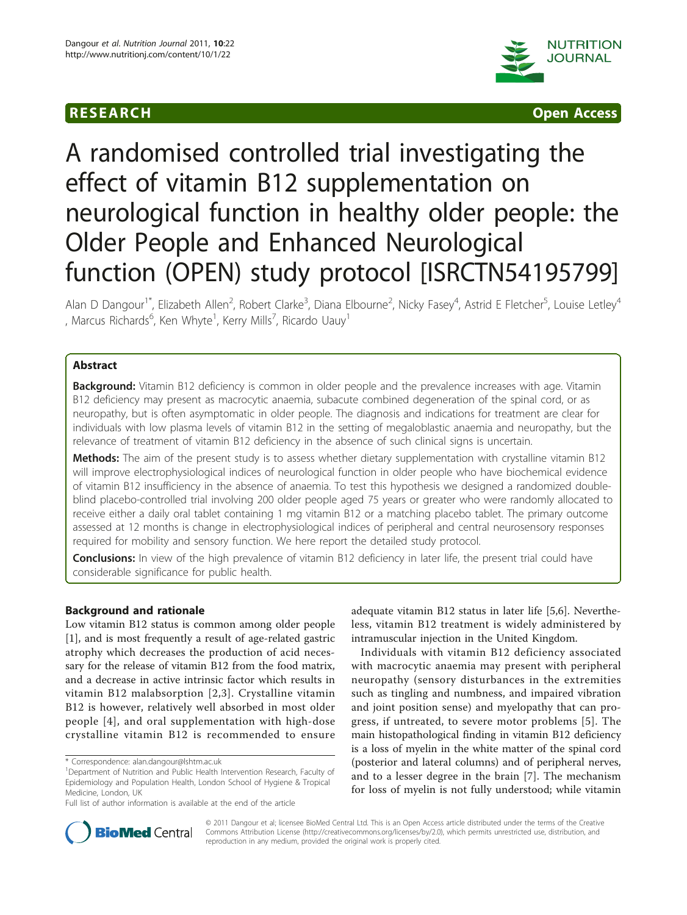



# A randomised controlled trial investigating the effect of vitamin B12 supplementation on neurological function in healthy older people: the Older People and Enhanced Neurological function (OPEN) study protocol [ISRCTN54195799]

Alan D Dangour<sup>1\*</sup>, Elizabeth Allen<sup>2</sup>, Robert Clarke<sup>3</sup>, Diana Elbourne<sup>2</sup>, Nicky Fasey<sup>4</sup>, Astrid E Fletcher<sup>5</sup>, Louise Letley<sup>4</sup> , Marcus Richards $^6$ , Ken Whyte $^1$ , Kerry Mills $^7$ , Ricardo Uauy $^1$ 

# Abstract

Background: Vitamin B12 deficiency is common in older people and the prevalence increases with age. Vitamin B12 deficiency may present as macrocytic anaemia, subacute combined degeneration of the spinal cord, or as neuropathy, but is often asymptomatic in older people. The diagnosis and indications for treatment are clear for individuals with low plasma levels of vitamin B12 in the setting of megaloblastic anaemia and neuropathy, but the relevance of treatment of vitamin B12 deficiency in the absence of such clinical signs is uncertain.

Methods: The aim of the present study is to assess whether dietary supplementation with crystalline vitamin B12 will improve electrophysiological indices of neurological function in older people who have biochemical evidence of vitamin B12 insufficiency in the absence of anaemia. To test this hypothesis we designed a randomized doubleblind placebo-controlled trial involving 200 older people aged 75 years or greater who were randomly allocated to receive either a daily oral tablet containing 1 mg vitamin B12 or a matching placebo tablet. The primary outcome assessed at 12 months is change in electrophysiological indices of peripheral and central neurosensory responses required for mobility and sensory function. We here report the detailed study protocol.

Conclusions: In view of the high prevalence of vitamin B12 deficiency in later life, the present trial could have considerable significance for public health.

#### Background and rationale

Low vitamin B12 status is common among older people [[1\]](#page-7-0), and is most frequently a result of age-related gastric atrophy which decreases the production of acid necessary for the release of vitamin B12 from the food matrix, and a decrease in active intrinsic factor which results in vitamin B12 malabsorption [[2](#page-7-0),[3](#page-7-0)]. Crystalline vitamin B12 is however, relatively well absorbed in most older people [[4](#page-7-0)], and oral supplementation with high-dose crystalline vitamin B12 is recommended to ensure

adequate vitamin B12 status in later life [[5,6\]](#page-7-0). Nevertheless, vitamin B12 treatment is widely administered by intramuscular injection in the United Kingdom.

Individuals with vitamin B12 deficiency associated with macrocytic anaemia may present with peripheral neuropathy (sensory disturbances in the extremities such as tingling and numbness, and impaired vibration and joint position sense) and myelopathy that can progress, if untreated, to severe motor problems [\[5\]](#page-7-0). The main histopathological finding in vitamin B12 deficiency is a loss of myelin in the white matter of the spinal cord (posterior and lateral columns) and of peripheral nerves, and to a lesser degree in the brain [\[7](#page-7-0)]. The mechanism for loss of myelin is not fully understood; while vitamin



© 2011 Dangour et al; licensee BioMed Central Ltd. This is an Open Access article distributed under the terms of the Creative Commons Attribution License [\(http://creativecommons.org/licenses/by/2.0](http://creativecommons.org/licenses/by/2.0)), which permits unrestricted use, distribution, and reproduction in any medium, provided the original work is properly cited.

<sup>\*</sup> Correspondence: [alan.dangour@lshtm.ac.uk](mailto:alan.dangour@lshtm.ac.uk)

<sup>&</sup>lt;sup>1</sup>Department of Nutrition and Public Health Intervention Research, Faculty of Epidemiology and Population Health, London School of Hygiene & Tropical Medicine, London, UK

Full list of author information is available at the end of the article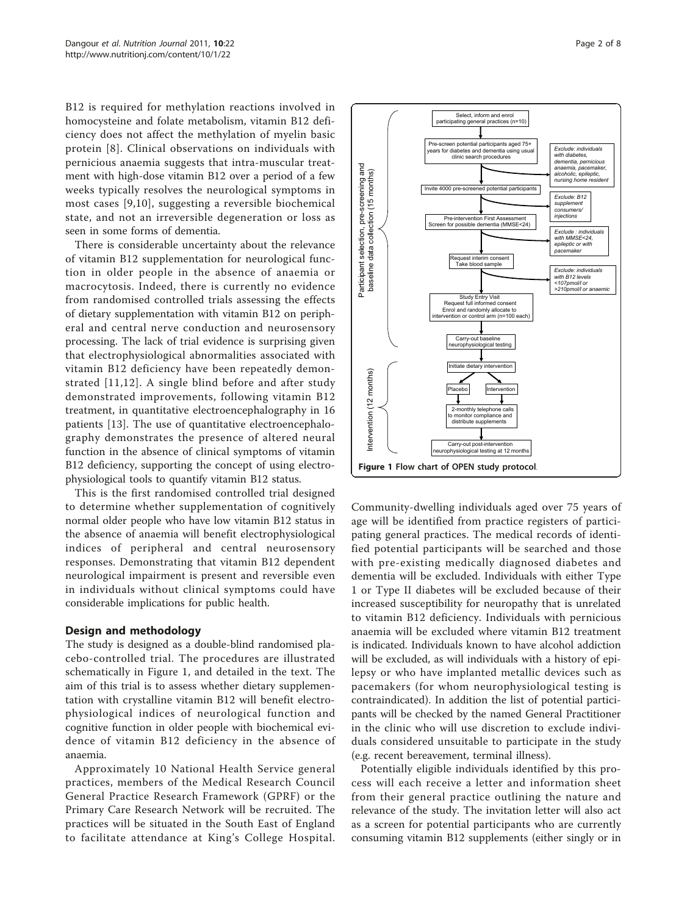B12 is required for methylation reactions involved in homocysteine and folate metabolism, vitamin B12 deficiency does not affect the methylation of myelin basic protein [[8\]](#page-7-0). Clinical observations on individuals with pernicious anaemia suggests that intra-muscular treatment with high-dose vitamin B12 over a period of a few weeks typically resolves the neurological symptoms in most cases [\[9](#page-7-0),[10](#page-7-0)], suggesting a reversible biochemical state, and not an irreversible degeneration or loss as seen in some forms of dementia.

There is considerable uncertainty about the relevance of vitamin B12 supplementation for neurological function in older people in the absence of anaemia or macrocytosis. Indeed, there is currently no evidence from randomised controlled trials assessing the effects of dietary supplementation with vitamin B12 on peripheral and central nerve conduction and neurosensory processing. The lack of trial evidence is surprising given that electrophysiological abnormalities associated with vitamin B12 deficiency have been repeatedly demonstrated [[11](#page-7-0),[12](#page-7-0)]. A single blind before and after study demonstrated improvements, following vitamin B12 treatment, in quantitative electroencephalography in 16 patients [\[13](#page-7-0)]. The use of quantitative electroencephalography demonstrates the presence of altered neural function in the absence of clinical symptoms of vitamin B12 deficiency, supporting the concept of using electrophysiological tools to quantify vitamin B12 status.

This is the first randomised controlled trial designed to determine whether supplementation of cognitively normal older people who have low vitamin B12 status in the absence of anaemia will benefit electrophysiological indices of peripheral and central neurosensory responses. Demonstrating that vitamin B12 dependent neurological impairment is present and reversible even in individuals without clinical symptoms could have considerable implications for public health.

#### Design and methodology

The study is designed as a double-blind randomised placebo-controlled trial. The procedures are illustrated schematically in Figure 1, and detailed in the text. The aim of this trial is to assess whether dietary supplementation with crystalline vitamin B12 will benefit electrophysiological indices of neurological function and cognitive function in older people with biochemical evidence of vitamin B12 deficiency in the absence of anaemia.

Approximately 10 National Health Service general practices, members of the Medical Research Council General Practice Research Framework (GPRF) or the Primary Care Research Network will be recruited. The practices will be situated in the South East of England to facilitate attendance at King's College Hospital.



Community-dwelling individuals aged over 75 years of age will be identified from practice registers of participating general practices. The medical records of identified potential participants will be searched and those with pre-existing medically diagnosed diabetes and dementia will be excluded. Individuals with either Type 1 or Type II diabetes will be excluded because of their increased susceptibility for neuropathy that is unrelated to vitamin B12 deficiency. Individuals with pernicious anaemia will be excluded where vitamin B12 treatment is indicated. Individuals known to have alcohol addiction will be excluded, as will individuals with a history of epilepsy or who have implanted metallic devices such as pacemakers (for whom neurophysiological testing is contraindicated). In addition the list of potential participants will be checked by the named General Practitioner in the clinic who will use discretion to exclude individuals considered unsuitable to participate in the study (e.g. recent bereavement, terminal illness).

Potentially eligible individuals identified by this process will each receive a letter and information sheet from their general practice outlining the nature and relevance of the study. The invitation letter will also act as a screen for potential participants who are currently consuming vitamin B12 supplements (either singly or in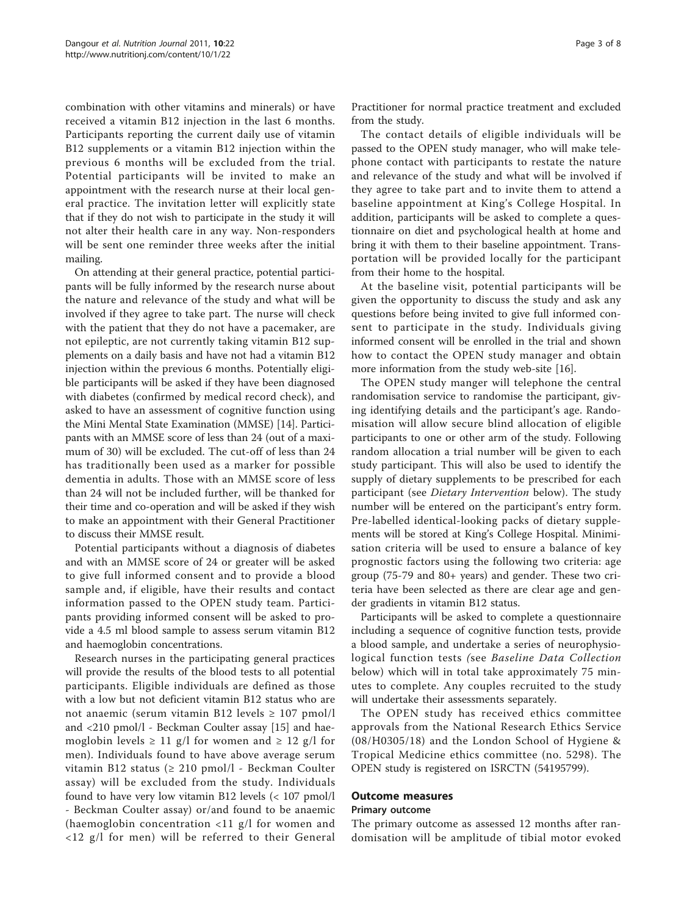combination with other vitamins and minerals) or have received a vitamin B12 injection in the last 6 months. Participants reporting the current daily use of vitamin B12 supplements or a vitamin B12 injection within the previous 6 months will be excluded from the trial. Potential participants will be invited to make an appointment with the research nurse at their local general practice. The invitation letter will explicitly state that if they do not wish to participate in the study it will not alter their health care in any way. Non-responders will be sent one reminder three weeks after the initial mailing.

On attending at their general practice, potential participants will be fully informed by the research nurse about the nature and relevance of the study and what will be involved if they agree to take part. The nurse will check with the patient that they do not have a pacemaker, are not epileptic, are not currently taking vitamin B12 supplements on a daily basis and have not had a vitamin B12 injection within the previous 6 months. Potentially eligible participants will be asked if they have been diagnosed with diabetes (confirmed by medical record check), and asked to have an assessment of cognitive function using the Mini Mental State Examination (MMSE) [\[14\]](#page-7-0). Participants with an MMSE score of less than 24 (out of a maximum of 30) will be excluded. The cut-off of less than 24 has traditionally been used as a marker for possible dementia in adults. Those with an MMSE score of less than 24 will not be included further, will be thanked for their time and co-operation and will be asked if they wish to make an appointment with their General Practitioner to discuss their MMSE result.

Potential participants without a diagnosis of diabetes and with an MMSE score of 24 or greater will be asked to give full informed consent and to provide a blood sample and, if eligible, have their results and contact information passed to the OPEN study team. Participants providing informed consent will be asked to provide a 4.5 ml blood sample to assess serum vitamin B12 and haemoglobin concentrations.

Research nurses in the participating general practices will provide the results of the blood tests to all potential participants. Eligible individuals are defined as those with a low but not deficient vitamin B12 status who are not anaemic (serum vitamin B12 levels  $\geq 107$  pmol/l and <210 pmol/l - Beckman Coulter assay [\[15](#page-7-0)] and haemoglobin levels  $\geq 11$  g/l for women and  $\geq 12$  g/l for men). Individuals found to have above average serum vitamin B12 status (≥ 210 pmol/l - Beckman Coulter assay) will be excluded from the study. Individuals found to have very low vitamin B12 levels (< 107 pmol/l - Beckman Coulter assay) or/and found to be anaemic (haemoglobin concentration <11 g/l for women and <12 g/l for men) will be referred to their General

The contact details of eligible individuals will be passed to the OPEN study manager, who will make telephone contact with participants to restate the nature and relevance of the study and what will be involved if they agree to take part and to invite them to attend a baseline appointment at King's College Hospital. In addition, participants will be asked to complete a questionnaire on diet and psychological health at home and bring it with them to their baseline appointment. Transportation will be provided locally for the participant from their home to the hospital.

At the baseline visit, potential participants will be given the opportunity to discuss the study and ask any questions before being invited to give full informed consent to participate in the study. Individuals giving informed consent will be enrolled in the trial and shown how to contact the OPEN study manager and obtain more information from the study web-site [[16\]](#page-7-0).

The OPEN study manger will telephone the central randomisation service to randomise the participant, giving identifying details and the participant's age. Randomisation will allow secure blind allocation of eligible participants to one or other arm of the study. Following random allocation a trial number will be given to each study participant. This will also be used to identify the supply of dietary supplements to be prescribed for each participant (see Dietary Intervention below). The study number will be entered on the participant's entry form. Pre-labelled identical-looking packs of dietary supplements will be stored at King's College Hospital. Minimisation criteria will be used to ensure a balance of key prognostic factors using the following two criteria: age group (75-79 and 80+ years) and gender. These two criteria have been selected as there are clear age and gender gradients in vitamin B12 status.

Participants will be asked to complete a questionnaire including a sequence of cognitive function tests, provide a blood sample, and undertake a series of neurophysiological function tests (see Baseline Data Collection below) which will in total take approximately 75 minutes to complete. Any couples recruited to the study will undertake their assessments separately.

The OPEN study has received ethics committee approvals from the National Research Ethics Service (08/H0305/18) and the London School of Hygiene & Tropical Medicine ethics committee (no. 5298). The OPEN study is registered on ISRCTN (54195799).

#### Outcome measures

#### Primary outcome

The primary outcome as assessed 12 months after randomisation will be amplitude of tibial motor evoked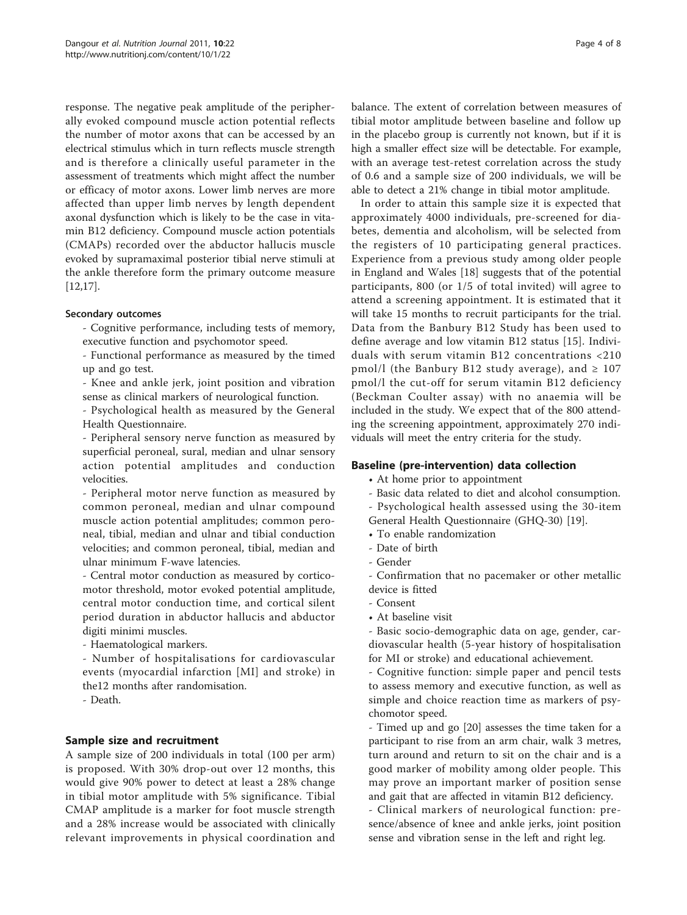response. The negative peak amplitude of the peripherally evoked compound muscle action potential reflects the number of motor axons that can be accessed by an electrical stimulus which in turn reflects muscle strength and is therefore a clinically useful parameter in the assessment of treatments which might affect the number or efficacy of motor axons. Lower limb nerves are more affected than upper limb nerves by length dependent axonal dysfunction which is likely to be the case in vitamin B12 deficiency. Compound muscle action potentials (CMAPs) recorded over the abductor hallucis muscle evoked by supramaximal posterior tibial nerve stimuli at the ankle therefore form the primary outcome measure [[12,17\]](#page-7-0).

#### Secondary outcomes

- Cognitive performance, including tests of memory, executive function and psychomotor speed.

- Functional performance as measured by the timed up and go test.

- Knee and ankle jerk, joint position and vibration sense as clinical markers of neurological function.

- Psychological health as measured by the General Health Questionnaire.

- Peripheral sensory nerve function as measured by superficial peroneal, sural, median and ulnar sensory action potential amplitudes and conduction velocities.

- Peripheral motor nerve function as measured by common peroneal, median and ulnar compound muscle action potential amplitudes; common peroneal, tibial, median and ulnar and tibial conduction velocities; and common peroneal, tibial, median and ulnar minimum F-wave latencies.

- Central motor conduction as measured by corticomotor threshold, motor evoked potential amplitude, central motor conduction time, and cortical silent period duration in abductor hallucis and abductor digiti minimi muscles.

- Haematological markers.

- Number of hospitalisations for cardiovascular events (myocardial infarction [MI] and stroke) in the12 months after randomisation.

- Death.

#### Sample size and recruitment

A sample size of 200 individuals in total (100 per arm) is proposed. With 30% drop-out over 12 months, this would give 90% power to detect at least a 28% change in tibial motor amplitude with 5% significance. Tibial CMAP amplitude is a marker for foot muscle strength and a 28% increase would be associated with clinically relevant improvements in physical coordination and

balance. The extent of correlation between measures of tibial motor amplitude between baseline and follow up in the placebo group is currently not known, but if it is high a smaller effect size will be detectable. For example, with an average test-retest correlation across the study of 0.6 and a sample size of 200 individuals, we will be able to detect a 21% change in tibial motor amplitude.

In order to attain this sample size it is expected that approximately 4000 individuals, pre-screened for diabetes, dementia and alcoholism, will be selected from the registers of 10 participating general practices. Experience from a previous study among older people in England and Wales [\[18](#page-7-0)] suggests that of the potential participants, 800 (or 1/5 of total invited) will agree to attend a screening appointment. It is estimated that it will take 15 months to recruit participants for the trial. Data from the Banbury B12 Study has been used to define average and low vitamin B12 status [[15\]](#page-7-0). Individuals with serum vitamin B12 concentrations <210 pmol/l (the Banbury B12 study average), and  $\geq 107$ pmol/l the cut-off for serum vitamin B12 deficiency (Beckman Coulter assay) with no anaemia will be included in the study. We expect that of the 800 attending the screening appointment, approximately 270 individuals will meet the entry criteria for the study.

#### Baseline (pre-intervention) data collection

• At home prior to appointment

- Basic data related to diet and alcohol consumption.

- Psychological health assessed using the 30-item

General Health Questionnaire (GHQ-30) [[19](#page-7-0)].

• To enable randomization

- Date of birth
- Gender

- Confirmation that no pacemaker or other metallic device is fitted

- Consent
- At baseline visit

- Basic socio-demographic data on age, gender, cardiovascular health (5-year history of hospitalisation for MI or stroke) and educational achievement.

- Cognitive function: simple paper and pencil tests to assess memory and executive function, as well as simple and choice reaction time as markers of psychomotor speed.

- Timed up and go [[20\]](#page-7-0) assesses the time taken for a participant to rise from an arm chair, walk 3 metres, turn around and return to sit on the chair and is a good marker of mobility among older people. This may prove an important marker of position sense and gait that are affected in vitamin B12 deficiency.

- Clinical markers of neurological function: presence/absence of knee and ankle jerks, joint position sense and vibration sense in the left and right leg.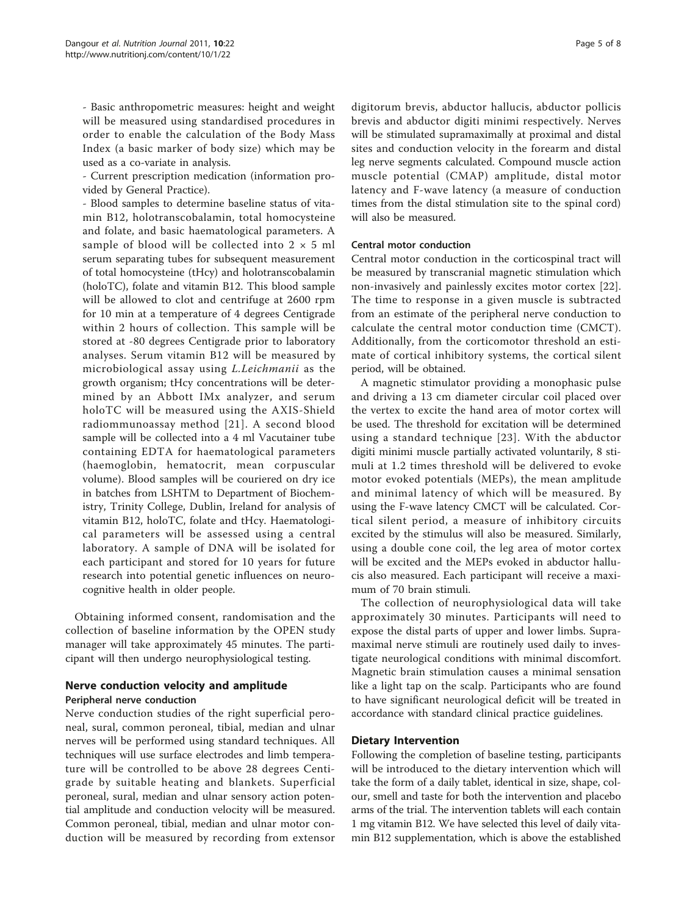- Basic anthropometric measures: height and weight will be measured using standardised procedures in order to enable the calculation of the Body Mass Index (a basic marker of body size) which may be used as a co-variate in analysis.

- Current prescription medication (information provided by General Practice).

- Blood samples to determine baseline status of vitamin B12, holotranscobalamin, total homocysteine and folate, and basic haematological parameters. A sample of blood will be collected into  $2 \times 5$  ml serum separating tubes for subsequent measurement of total homocysteine (tHcy) and holotranscobalamin (holoTC), folate and vitamin B12. This blood sample will be allowed to clot and centrifuge at 2600 rpm for 10 min at a temperature of 4 degrees Centigrade within 2 hours of collection. This sample will be stored at -80 degrees Centigrade prior to laboratory analyses. Serum vitamin B12 will be measured by microbiological assay using L.Leichmanii as the growth organism; tHcy concentrations will be determined by an Abbott IMx analyzer, and serum holoTC will be measured using the AXIS-Shield radiommunoassay method [[21\]](#page-7-0). A second blood sample will be collected into a 4 ml Vacutainer tube containing EDTA for haematological parameters (haemoglobin, hematocrit, mean corpuscular volume). Blood samples will be couriered on dry ice in batches from LSHTM to Department of Biochemistry, Trinity College, Dublin, Ireland for analysis of vitamin B12, holoTC, folate and tHcy. Haematological parameters will be assessed using a central laboratory. A sample of DNA will be isolated for each participant and stored for 10 years for future research into potential genetic influences on neurocognitive health in older people.

Obtaining informed consent, randomisation and the collection of baseline information by the OPEN study manager will take approximately 45 minutes. The participant will then undergo neurophysiological testing.

# Nerve conduction velocity and amplitude Peripheral nerve conduction

Nerve conduction studies of the right superficial peroneal, sural, common peroneal, tibial, median and ulnar nerves will be performed using standard techniques. All techniques will use surface electrodes and limb temperature will be controlled to be above 28 degrees Centigrade by suitable heating and blankets. Superficial peroneal, sural, median and ulnar sensory action potential amplitude and conduction velocity will be measured. Common peroneal, tibial, median and ulnar motor conduction will be measured by recording from extensor digitorum brevis, abductor hallucis, abductor pollicis brevis and abductor digiti minimi respectively. Nerves will be stimulated supramaximally at proximal and distal sites and conduction velocity in the forearm and distal leg nerve segments calculated. Compound muscle action muscle potential (CMAP) amplitude, distal motor latency and F-wave latency (a measure of conduction times from the distal stimulation site to the spinal cord) will also be measured.

#### Central motor conduction

Central motor conduction in the corticospinal tract will be measured by transcranial magnetic stimulation which non-invasively and painlessly excites motor cortex [\[22](#page-7-0)]. The time to response in a given muscle is subtracted from an estimate of the peripheral nerve conduction to calculate the central motor conduction time (CMCT). Additionally, from the corticomotor threshold an estimate of cortical inhibitory systems, the cortical silent period, will be obtained.

A magnetic stimulator providing a monophasic pulse and driving a 13 cm diameter circular coil placed over the vertex to excite the hand area of motor cortex will be used. The threshold for excitation will be determined using a standard technique [\[23](#page-7-0)]. With the abductor digiti minimi muscle partially activated voluntarily, 8 stimuli at 1.2 times threshold will be delivered to evoke motor evoked potentials (MEPs), the mean amplitude and minimal latency of which will be measured. By using the F-wave latency CMCT will be calculated. Cortical silent period, a measure of inhibitory circuits excited by the stimulus will also be measured. Similarly, using a double cone coil, the leg area of motor cortex will be excited and the MEPs evoked in abductor hallucis also measured. Each participant will receive a maximum of 70 brain stimuli.

The collection of neurophysiological data will take approximately 30 minutes. Participants will need to expose the distal parts of upper and lower limbs. Supramaximal nerve stimuli are routinely used daily to investigate neurological conditions with minimal discomfort. Magnetic brain stimulation causes a minimal sensation like a light tap on the scalp. Participants who are found to have significant neurological deficit will be treated in accordance with standard clinical practice guidelines.

#### Dietary Intervention

Following the completion of baseline testing, participants will be introduced to the dietary intervention which will take the form of a daily tablet, identical in size, shape, colour, smell and taste for both the intervention and placebo arms of the trial. The intervention tablets will each contain 1 mg vitamin B12. We have selected this level of daily vitamin B12 supplementation, which is above the established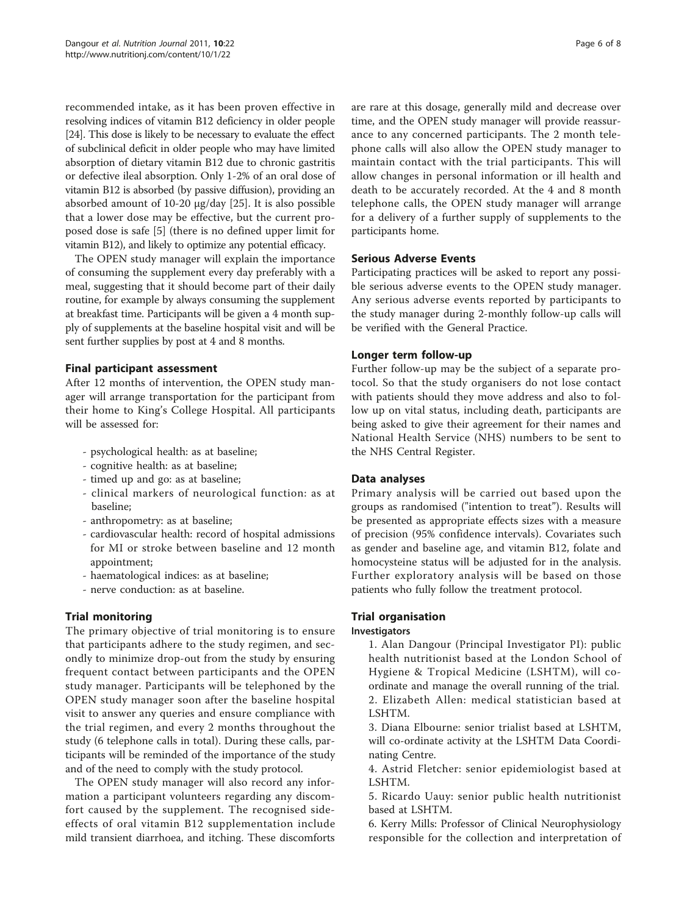recommended intake, as it has been proven effective in resolving indices of vitamin B12 deficiency in older people [[24](#page-7-0)]. This dose is likely to be necessary to evaluate the effect of subclinical deficit in older people who may have limited absorption of dietary vitamin B12 due to chronic gastritis or defective ileal absorption. Only 1-2% of an oral dose of vitamin B12 is absorbed (by passive diffusion), providing an absorbed amount of 10-20 μg/day [\[25\]](#page-7-0). It is also possible that a lower dose may be effective, but the current proposed dose is safe [[5\]](#page-7-0) (there is no defined upper limit for vitamin B12), and likely to optimize any potential efficacy.

The OPEN study manager will explain the importance of consuming the supplement every day preferably with a meal, suggesting that it should become part of their daily routine, for example by always consuming the supplement at breakfast time. Participants will be given a 4 month supply of supplements at the baseline hospital visit and will be sent further supplies by post at 4 and 8 months.

## Final participant assessment

After 12 months of intervention, the OPEN study manager will arrange transportation for the participant from their home to King's College Hospital. All participants will be assessed for:

- psychological health: as at baseline;
- cognitive health: as at baseline;
- timed up and go: as at baseline;
- clinical markers of neurological function: as at baseline;
- anthropometry: as at baseline;
- cardiovascular health: record of hospital admissions for MI or stroke between baseline and 12 month appointment;
- haematological indices: as at baseline;
- nerve conduction: as at baseline.

# Trial monitoring

The primary objective of trial monitoring is to ensure that participants adhere to the study regimen, and secondly to minimize drop-out from the study by ensuring frequent contact between participants and the OPEN study manager. Participants will be telephoned by the OPEN study manager soon after the baseline hospital visit to answer any queries and ensure compliance with the trial regimen, and every 2 months throughout the study (6 telephone calls in total). During these calls, participants will be reminded of the importance of the study and of the need to comply with the study protocol.

The OPEN study manager will also record any information a participant volunteers regarding any discomfort caused by the supplement. The recognised sideeffects of oral vitamin B12 supplementation include mild transient diarrhoea, and itching. These discomforts are rare at this dosage, generally mild and decrease over time, and the OPEN study manager will provide reassurance to any concerned participants. The 2 month telephone calls will also allow the OPEN study manager to maintain contact with the trial participants. This will allow changes in personal information or ill health and death to be accurately recorded. At the 4 and 8 month telephone calls, the OPEN study manager will arrange for a delivery of a further supply of supplements to the participants home.

## Serious Adverse Events

Participating practices will be asked to report any possible serious adverse events to the OPEN study manager. Any serious adverse events reported by participants to the study manager during 2-monthly follow-up calls will be verified with the General Practice.

## Longer term follow-up

Further follow-up may be the subject of a separate protocol. So that the study organisers do not lose contact with patients should they move address and also to follow up on vital status, including death, participants are being asked to give their agreement for their names and National Health Service (NHS) numbers to be sent to the NHS Central Register.

#### Data analyses

Primary analysis will be carried out based upon the groups as randomised ("intention to treat"). Results will be presented as appropriate effects sizes with a measure of precision (95% confidence intervals). Covariates such as gender and baseline age, and vitamin B12, folate and homocysteine status will be adjusted for in the analysis. Further exploratory analysis will be based on those patients who fully follow the treatment protocol.

# Trial organisation

#### Investigators

1. Alan Dangour (Principal Investigator PI): public health nutritionist based at the London School of Hygiene & Tropical Medicine (LSHTM), will coordinate and manage the overall running of the trial. 2. Elizabeth Allen: medical statistician based at LSHTM.

3. Diana Elbourne: senior trialist based at LSHTM, will co-ordinate activity at the LSHTM Data Coordinating Centre.

4. Astrid Fletcher: senior epidemiologist based at LSHTM.

5. Ricardo Uauy: senior public health nutritionist based at LSHTM.

6. Kerry Mills: Professor of Clinical Neurophysiology responsible for the collection and interpretation of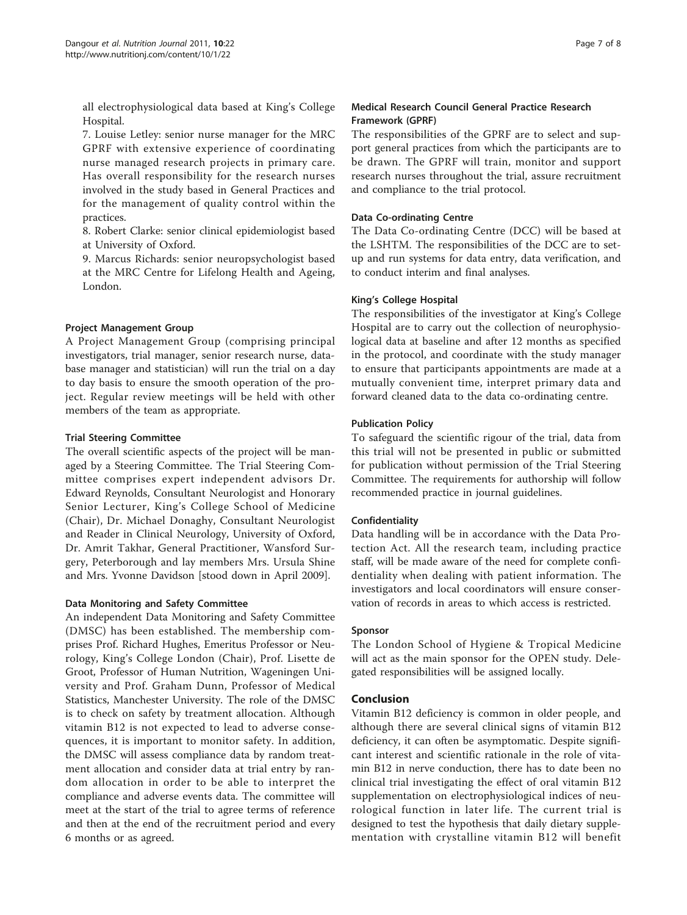all electrophysiological data based at King's College Hospital.

7. Louise Letley: senior nurse manager for the MRC GPRF with extensive experience of coordinating nurse managed research projects in primary care. Has overall responsibility for the research nurses involved in the study based in General Practices and for the management of quality control within the practices.

8. Robert Clarke: senior clinical epidemiologist based at University of Oxford.

9. Marcus Richards: senior neuropsychologist based at the MRC Centre for Lifelong Health and Ageing, London.

## Project Management Group

A Project Management Group (comprising principal investigators, trial manager, senior research nurse, database manager and statistician) will run the trial on a day to day basis to ensure the smooth operation of the project. Regular review meetings will be held with other members of the team as appropriate.

## Trial Steering Committee

The overall scientific aspects of the project will be managed by a Steering Committee. The Trial Steering Committee comprises expert independent advisors Dr. Edward Reynolds, Consultant Neurologist and Honorary Senior Lecturer, King's College School of Medicine (Chair), Dr. Michael Donaghy, Consultant Neurologist and Reader in Clinical Neurology, University of Oxford, Dr. Amrit Takhar, General Practitioner, Wansford Surgery, Peterborough and lay members Mrs. Ursula Shine and Mrs. Yvonne Davidson [stood down in April 2009].

#### Data Monitoring and Safety Committee

An independent Data Monitoring and Safety Committee (DMSC) has been established. The membership comprises Prof. Richard Hughes, Emeritus Professor or Neurology, King's College London (Chair), Prof. Lisette de Groot, Professor of Human Nutrition, Wageningen University and Prof. Graham Dunn, Professor of Medical Statistics, Manchester University. The role of the DMSC is to check on safety by treatment allocation. Although vitamin B12 is not expected to lead to adverse consequences, it is important to monitor safety. In addition, the DMSC will assess compliance data by random treatment allocation and consider data at trial entry by random allocation in order to be able to interpret the compliance and adverse events data. The committee will meet at the start of the trial to agree terms of reference and then at the end of the recruitment period and every 6 months or as agreed.

# Medical Research Council General Practice Research Framework (GPRF)

The responsibilities of the GPRF are to select and support general practices from which the participants are to be drawn. The GPRF will train, monitor and support research nurses throughout the trial, assure recruitment and compliance to the trial protocol.

# Data Co-ordinating Centre

The Data Co-ordinating Centre (DCC) will be based at the LSHTM. The responsibilities of the DCC are to setup and run systems for data entry, data verification, and to conduct interim and final analyses.

## King's College Hospital

The responsibilities of the investigator at King's College Hospital are to carry out the collection of neurophysiological data at baseline and after 12 months as specified in the protocol, and coordinate with the study manager to ensure that participants appointments are made at a mutually convenient time, interpret primary data and forward cleaned data to the data co-ordinating centre.

## Publication Policy

To safeguard the scientific rigour of the trial, data from this trial will not be presented in public or submitted for publication without permission of the Trial Steering Committee. The requirements for authorship will follow recommended practice in journal guidelines.

# Confidentiality

Data handling will be in accordance with the Data Protection Act. All the research team, including practice staff, will be made aware of the need for complete confidentiality when dealing with patient information. The investigators and local coordinators will ensure conservation of records in areas to which access is restricted.

#### Sponsor

The London School of Hygiene & Tropical Medicine will act as the main sponsor for the OPEN study. Delegated responsibilities will be assigned locally.

# Conclusion

Vitamin B12 deficiency is common in older people, and although there are several clinical signs of vitamin B12 deficiency, it can often be asymptomatic. Despite significant interest and scientific rationale in the role of vitamin B12 in nerve conduction, there has to date been no clinical trial investigating the effect of oral vitamin B12 supplementation on electrophysiological indices of neurological function in later life. The current trial is designed to test the hypothesis that daily dietary supplementation with crystalline vitamin B12 will benefit